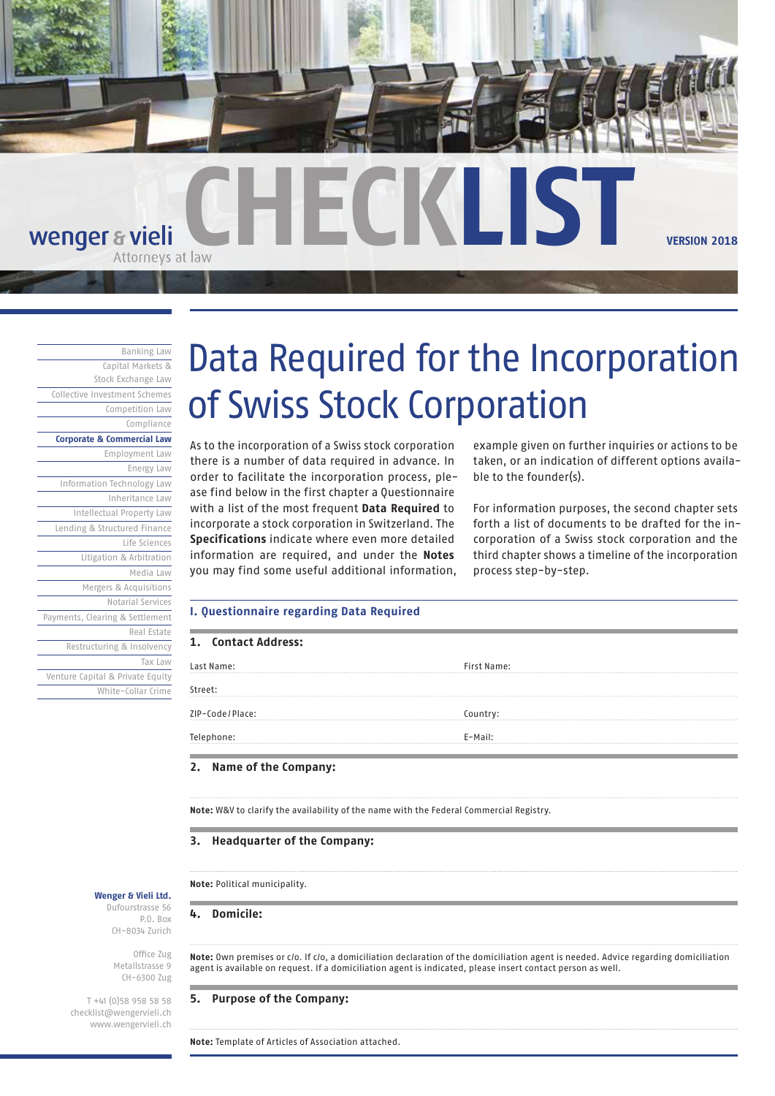

# **CHECKLIST VERSION 2018** wenger & vieli

Banking Law Capital Markets & Stock Exchange Law Collective Investment Schemes Competition Law Compliance **Corporate & Commercial Law** Employment Law Energy Law Information Technology Law Inheritance Law Intellectual Property Law Lending & Structured Finance Life Sciences Litigation & Arbitration Media Law Mergers & Acquisitions Notarial Services Payments, Clearing & Settlement Real Estate Restructuring & Insolvency Tax Law Venture Capital & Private Equity White-Collar Crime

# Data Required for the Incorporation of Swiss Stock Corporation

As to the incorporation of a Swiss stock corporation there is a number of data required in advance. In order to facilitate the incorporation process, please find below in the first chapter a Questionnaire with a list of the most frequent **Data Required** to incorporate a stock corporation in Switzerland. The **Specifications** indicate where even more detailed information are required, and under the **Notes** you may find some useful additional information, example given on further inquiries or actions to be taken, or an indication of different options available to the founder(s).

For information purposes, the second chapter sets forth a list of documents to be drafted for the incorporation of a Swiss stock corporation and the third chapter shows a timeline of the incorporation process step-by-step.

#### **I. Questionnaire regarding Data Required**

| 1. Contact Address: |                    |
|---------------------|--------------------|
| Last Name:          | <b>First Name:</b> |
| Street:             |                    |
| ZIP-Code/Place:     | Country:           |
| Telephone:          | E-Mail:            |

### **2. Name of the Company:**

**Note:** W&V to clarify the availability of the name with the Federal Commercial Registry.

#### **3. Headquarter of the Company:**

**Note:** Political municipality.

**4. Domicile:**

**Note:** Own premises or c/o. If c/o, a domiciliation declaration of the domiciliation agent is needed. Advice regarding domiciliation agent is available on request. If a domiciliation agent is indicated, please insert contact person as well.

# **5. Purpose of the Company:**

**Note:** Template of Articles of Association attached.

**Wenger & Vieli Ltd.** Dufourstrasse 56 P.O. Box CH-8034 Zurich

> Office Zug Metallstrasse 9 CH-6300 Zug

T +41 (0)58 958 58 58 checklist@wengervieli.ch www.wengervieli.ch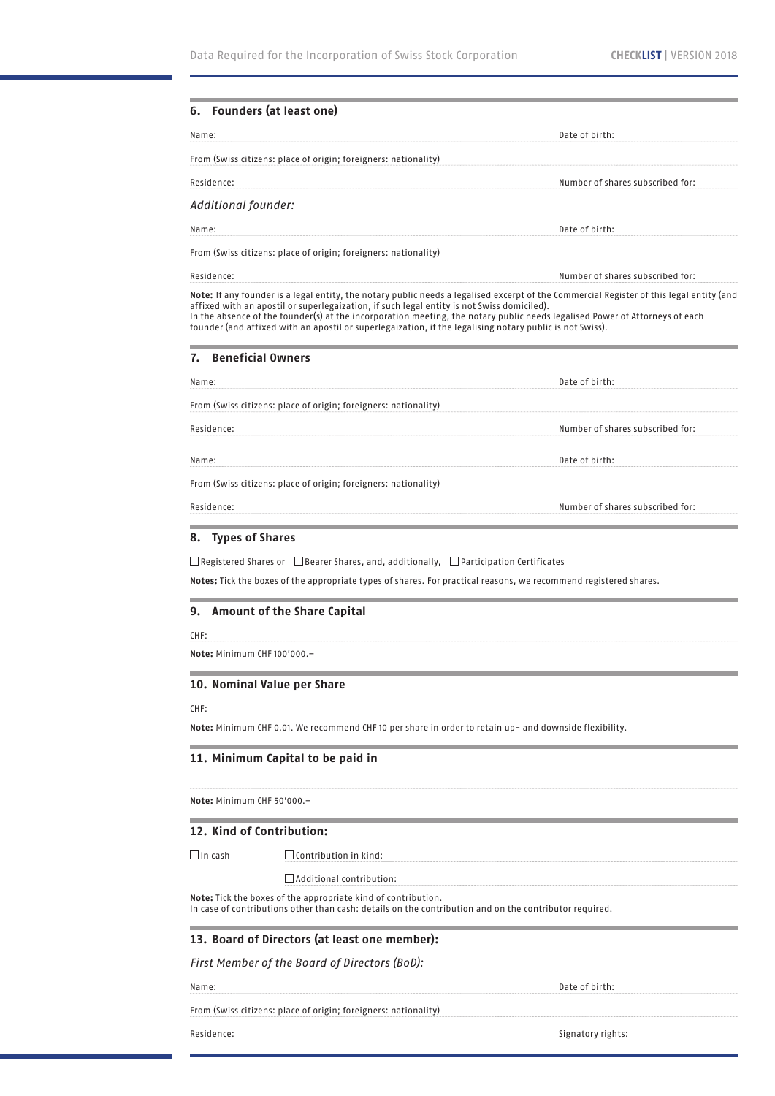| <b>Founders (at least one)</b><br>Name: |                                                                                                                                                                                                                            | Date of birth:                                                                                                                                                                                                                                                          |
|-----------------------------------------|----------------------------------------------------------------------------------------------------------------------------------------------------------------------------------------------------------------------------|-------------------------------------------------------------------------------------------------------------------------------------------------------------------------------------------------------------------------------------------------------------------------|
|                                         |                                                                                                                                                                                                                            |                                                                                                                                                                                                                                                                         |
|                                         | From (Swiss citizens: place of origin; foreigners: nationality)                                                                                                                                                            |                                                                                                                                                                                                                                                                         |
| Residence:                              |                                                                                                                                                                                                                            | Number of shares subscribed for:                                                                                                                                                                                                                                        |
| Additional founder:                     |                                                                                                                                                                                                                            |                                                                                                                                                                                                                                                                         |
| Name:                                   |                                                                                                                                                                                                                            | Date of birth:                                                                                                                                                                                                                                                          |
|                                         | From (Swiss citizens: place of origin; foreigners: nationality)                                                                                                                                                            |                                                                                                                                                                                                                                                                         |
| Residence:                              |                                                                                                                                                                                                                            | Number of shares subscribed for:                                                                                                                                                                                                                                        |
|                                         | affixed with an apostil or superlegaization, if such legal entity is not Swiss domiciled).<br>founder (and affixed with an apostil or superlegaization, if the legalising notary public is not Swiss).                     | Note: If any founder is a legal entity, the notary public needs a legalised excerpt of the Commercial Register of this legal entity (and<br>In the absence of the founder(s) at the incorporation meeting, the notary public needs legalised Power of Attorneys of each |
| 7.                                      | <b>Beneficial Owners</b>                                                                                                                                                                                                   |                                                                                                                                                                                                                                                                         |
| Name:                                   |                                                                                                                                                                                                                            | Date of birth:                                                                                                                                                                                                                                                          |
|                                         | From (Swiss citizens: place of origin; foreigners: nationality)                                                                                                                                                            |                                                                                                                                                                                                                                                                         |
| Residence:                              |                                                                                                                                                                                                                            | Number of shares subscribed for:                                                                                                                                                                                                                                        |
| Name:                                   |                                                                                                                                                                                                                            | Date of birth:                                                                                                                                                                                                                                                          |
|                                         | From (Swiss citizens: place of origin; foreigners: nationality)                                                                                                                                                            |                                                                                                                                                                                                                                                                         |
| Residence:                              |                                                                                                                                                                                                                            |                                                                                                                                                                                                                                                                         |
| <b>Types of Shares</b>                  | $\Box$ Registered Shares or $\Box$ Bearer Shares, and, additionally, $\Box$ Participation Certificates<br>Notes: Tick the boxes of the appropriate types of shares. For practical reasons, we recommend registered shares. | Number of shares subscribed for:                                                                                                                                                                                                                                        |
| 8.<br>9.                                | <b>Amount of the Share Capital</b>                                                                                                                                                                                         |                                                                                                                                                                                                                                                                         |
| CHF:<br>Note: Minimum CHF 100'000.-     |                                                                                                                                                                                                                            |                                                                                                                                                                                                                                                                         |
|                                         | 10. Nominal Value per Share                                                                                                                                                                                                |                                                                                                                                                                                                                                                                         |
| CHF:                                    | Note: Minimum CHF 0.01. We recommend CHF 10 per share in order to retain up- and downside flexibility.                                                                                                                     |                                                                                                                                                                                                                                                                         |
|                                         | 11. Minimum Capital to be paid in                                                                                                                                                                                          |                                                                                                                                                                                                                                                                         |
|                                         |                                                                                                                                                                                                                            |                                                                                                                                                                                                                                                                         |
| Note: Minimum CHF 50'000.-              |                                                                                                                                                                                                                            |                                                                                                                                                                                                                                                                         |
|                                         | 12. Kind of Contribution:                                                                                                                                                                                                  |                                                                                                                                                                                                                                                                         |
| $\Box$ In cash                          | $\Box$ Contribution in kind:                                                                                                                                                                                               |                                                                                                                                                                                                                                                                         |
|                                         | $\Box$ Additional contribution:                                                                                                                                                                                            |                                                                                                                                                                                                                                                                         |
|                                         | Note: Tick the boxes of the appropriate kind of contribution.<br>In case of contributions other than cash: details on the contribution and on the contributor required.                                                    |                                                                                                                                                                                                                                                                         |
|                                         | 13. Board of Directors (at least one member):                                                                                                                                                                              |                                                                                                                                                                                                                                                                         |
|                                         | First Member of the Board of Directors (BoD):                                                                                                                                                                              |                                                                                                                                                                                                                                                                         |
| Name:                                   |                                                                                                                                                                                                                            | Date of birth:                                                                                                                                                                                                                                                          |

Residence: Signatory rights: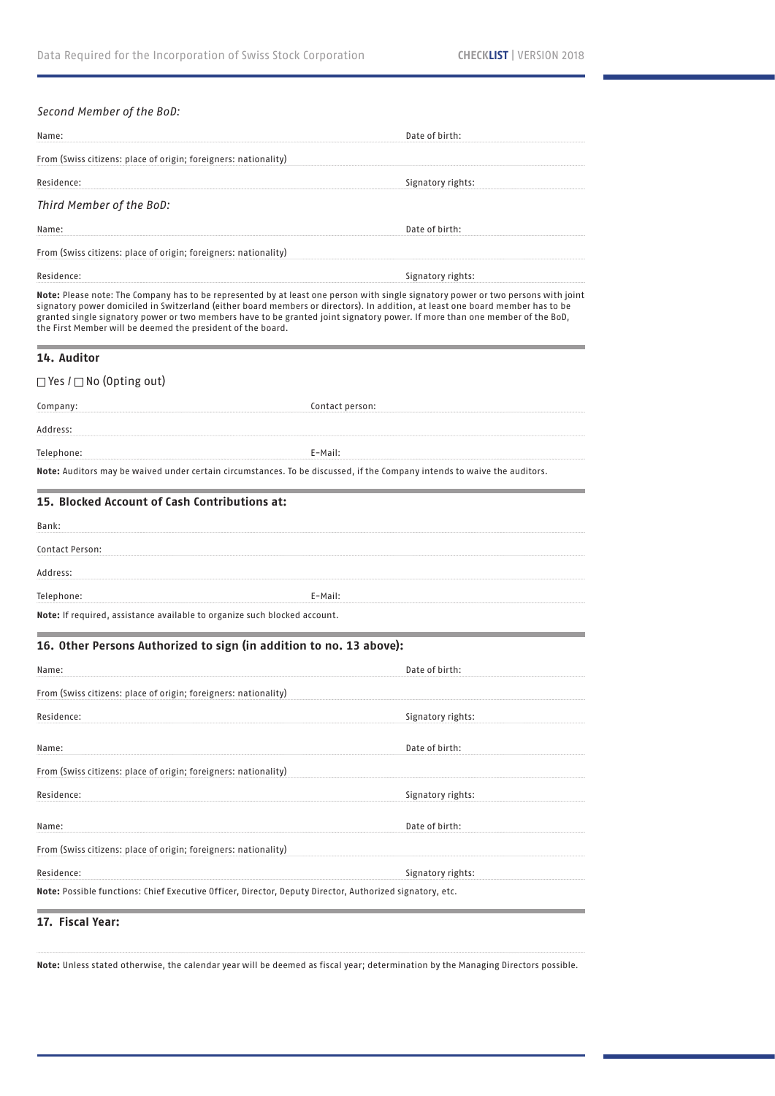# *Second Member of the BoD:*

| Name:                                                                                                                                                                                                                                                                                                                                                                                                                                                             | Date of birth:    |  |  |  |
|-------------------------------------------------------------------------------------------------------------------------------------------------------------------------------------------------------------------------------------------------------------------------------------------------------------------------------------------------------------------------------------------------------------------------------------------------------------------|-------------------|--|--|--|
| From (Swiss citizens: place of origin; foreigners: nationality)                                                                                                                                                                                                                                                                                                                                                                                                   |                   |  |  |  |
| Residence:                                                                                                                                                                                                                                                                                                                                                                                                                                                        | Signatory rights: |  |  |  |
| Third Member of the BoD:                                                                                                                                                                                                                                                                                                                                                                                                                                          |                   |  |  |  |
| Name:                                                                                                                                                                                                                                                                                                                                                                                                                                                             | Date of birth:    |  |  |  |
| From (Swiss citizens: place of origin; foreigners: nationality)                                                                                                                                                                                                                                                                                                                                                                                                   |                   |  |  |  |
| Residence:                                                                                                                                                                                                                                                                                                                                                                                                                                                        | Signatory rights: |  |  |  |
| Note: Please note: The Company has to be represented by at least one person with single signatory power or two persons with joint<br>signatory power domiciled in Switzerland (either board members or directors). In addition, at least one board member has to be<br>granted single signatory power or two members have to be granted joint signatory power. If more than one member of the BoD,<br>the First Member will be deemed the president of the board. |                   |  |  |  |
| 14. Auditor                                                                                                                                                                                                                                                                                                                                                                                                                                                       |                   |  |  |  |
| $\Box$ Yes / $\Box$ No (Opting out)                                                                                                                                                                                                                                                                                                                                                                                                                               |                   |  |  |  |
| Company:                                                                                                                                                                                                                                                                                                                                                                                                                                                          | Contact person:   |  |  |  |
| Address:                                                                                                                                                                                                                                                                                                                                                                                                                                                          |                   |  |  |  |
| Telephone:                                                                                                                                                                                                                                                                                                                                                                                                                                                        | E-Mail:           |  |  |  |
| Note: Auditors may be waived under certain circumstances. To be discussed, if the Company intends to waive the auditors.                                                                                                                                                                                                                                                                                                                                          |                   |  |  |  |
| 15. Blocked Account of Cash Contributions at:                                                                                                                                                                                                                                                                                                                                                                                                                     |                   |  |  |  |
| Bank:                                                                                                                                                                                                                                                                                                                                                                                                                                                             |                   |  |  |  |
| Contact Person:                                                                                                                                                                                                                                                                                                                                                                                                                                                   |                   |  |  |  |
| Address:                                                                                                                                                                                                                                                                                                                                                                                                                                                          |                   |  |  |  |
| Telephone:                                                                                                                                                                                                                                                                                                                                                                                                                                                        | E-Mail:           |  |  |  |
| Note: If required, assistance available to organize such blocked account.                                                                                                                                                                                                                                                                                                                                                                                         |                   |  |  |  |
| 16. Other Persons Authorized to sign (in addition to no. 13 above):                                                                                                                                                                                                                                                                                                                                                                                               |                   |  |  |  |
| Name:                                                                                                                                                                                                                                                                                                                                                                                                                                                             | Date of birth:    |  |  |  |
| From (Swiss citizens: place of origin; foreigners: nationality)                                                                                                                                                                                                                                                                                                                                                                                                   |                   |  |  |  |
| Residence:                                                                                                                                                                                                                                                                                                                                                                                                                                                        | Signatory rights: |  |  |  |
| Name:                                                                                                                                                                                                                                                                                                                                                                                                                                                             | Date of birth:    |  |  |  |
| From (Swiss citizens: place of origin; foreigners: nationality)                                                                                                                                                                                                                                                                                                                                                                                                   |                   |  |  |  |
| Residence:                                                                                                                                                                                                                                                                                                                                                                                                                                                        | Signatory rights: |  |  |  |
|                                                                                                                                                                                                                                                                                                                                                                                                                                                                   |                   |  |  |  |
| Name:                                                                                                                                                                                                                                                                                                                                                                                                                                                             | Date of birth:    |  |  |  |
| From (Swiss citizens: place of origin; foreigners: nationality)                                                                                                                                                                                                                                                                                                                                                                                                   |                   |  |  |  |
| Residence:                                                                                                                                                                                                                                                                                                                                                                                                                                                        | Signatory rights: |  |  |  |
| Note: Possible functions: Chief Executive Officer, Director, Deputy Director, Authorized signatory, etc.                                                                                                                                                                                                                                                                                                                                                          |                   |  |  |  |

# **17. Fiscal Year:**

**Note:** Unless stated otherwise, the calendar year will be deemed as fiscal year; determination by the Managing Directors possible.